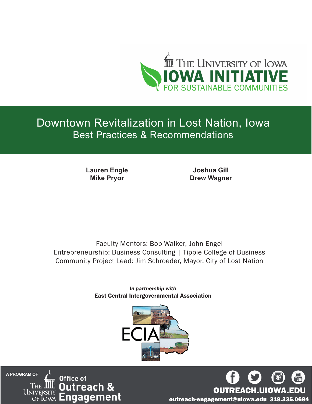

# Downtown Revitalization in Lost Nation, Iowa Best Practices & Recommendations

**Lauren Engle Mike Pryor**

**Joshua Gill Drew Wagner**

Faculty Mentors: Bob Walker, John Engel Entrepreneurship: Business Consulting | Tippie College of Business Community Project Lead: Jim Schroeder, Mayor, City of Lost Nation

> *In partnership with* East Central Intergovernmental Association



**A PROGRAM OF** Office of Outreach & UNIVERSI **Engagement** of Iowa



outreach-engagement@uiowa.edu 319.335.0684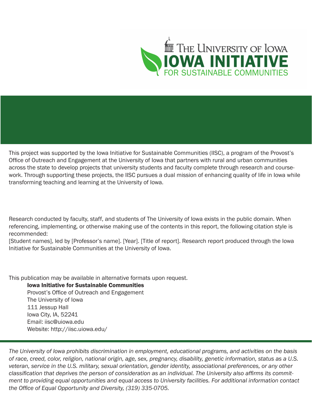

This project was supported by the Iowa Initiative for Sustainable Communities (IISC), a program of the Provost's Office of Outreach and Engagement at the University of Iowa that partners with rural and urban communities across the state to develop projects that university students and faculty complete through research and coursework. Through supporting these projects, the IISC pursues a dual mission of enhancing quality of life in Iowa while transforming teaching and learning at the University of Iowa.

Research conducted by faculty, staff, and students of The University of Iowa exists in the public domain. When referencing, implementing, or otherwise making use of the contents in this report, the following citation style is recommended:

[Student names], led by [Professor's name]. [Year]. [Title of report]. Research report produced through the Iowa Initiative for Sustainable Communities at the University of Iowa.

This publication may be available in alternative formats upon request.

Iowa Initiative for Sustainable Communities Provost's Office of Outreach and Engagement The University of Iowa 111 Jessup Hall Iowa City, IA, 52241 Email: iisc@uiowa.edu Website: http://iisc.uiowa.edu/

*The University of Iowa prohibits discrimination in employment, educational programs, and activities on the basis of race, creed, color, religion, national origin, age, sex, pregnancy, disability, genetic information, status as a U.S. veteran, service in the U.S. military, sexual orientation, gender identity, associational preferences, or any other classification that deprives the person of consideration as an individual. The University also affirms its commitment to providing equal opportunities and equal access to University facilities. For additional information contact the Office of Equal Opportunity and Diversity, (319) 335-0705.*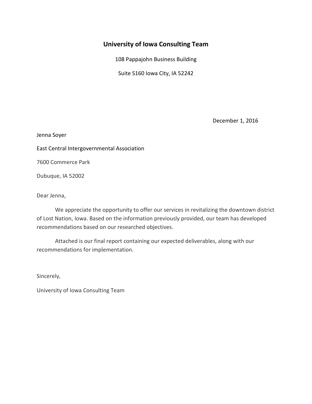# **University of Iowa Consulting Team**

108 Pappajohn Business Building

Suite S160 Iowa City, IA 52242

December 1, 2016

Jenna Soyer

East Central Intergovernmental Association

7600 Commerce Park

Dubuque, IA 52002

Dear Jenna,

We appreciate the opportunity to offer our services in revitalizing the downtown district of Lost Nation, Iowa. Based on the information previously provided, our team has developed recommendations based on our researched objectives.

Attached is our final report containing our expected deliverables, along with our recommendations for implementation.

Sincerely,

University of Iowa Consulting Team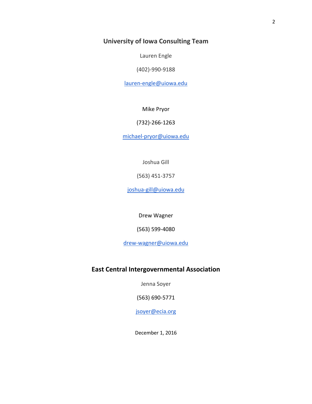# **University of Iowa Consulting Team**

Lauren Engle

(402)-990-9188

[lauren-engle@uiowa.edu](mailto:lauren-engle@uiowa.edu)

Mike Pryor

(732)-266-1263

[michael-pryor@uiowa.edu](mailto:michael-pryor@uiowa.edu)

Joshua Gill

(563) 451-3757

[joshua-gill@uiowa.edu](mailto:joshua-gill@uiowa.edu)

Drew Wagner

(563) 599-4080

[drew-wagner@uiowa.edu](mailto:drew-wagner@uiowa.edu)

### **East Central Intergovernmental Association**

Jenna Soyer

(563) 690-5771

[jsoyer@ecia.org](mailto:jsoyer@ecia.org)

December 1, 2016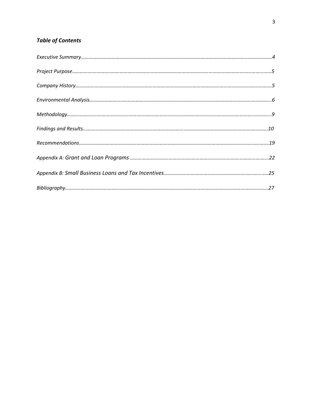# *Table of Contents*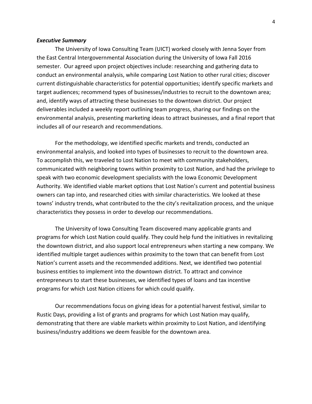#### *Executive Summary*

The University of Iowa Consulting Team (UICT) worked closely with Jenna Soyer from the East Central Intergovernmental Association during the University of Iowa Fall 2016 semester. Our agreed upon project objectives include: researching and gathering data to conduct an environmental analysis, while comparing Lost Nation to other rural cities; discover current distinguishable characteristics for potential opportunities; identify specific markets and target audiences; recommend types of businesses/industries to recruit to the downtown area; and, identify ways of attracting these businesses to the downtown district. Our project deliverables included a weekly report outlining team progress, sharing our findings on the environmental analysis, presenting marketing ideas to attract businesses, and a final report that includes all of our research and recommendations.

For the methodology, we identified specific markets and trends, conducted an environmental analysis, and looked into types of businesses to recruit to the downtown area. To accomplish this, we traveled to Lost Nation to meet with community stakeholders, communicated with neighboring towns within proximity to Lost Nation, and had the privilege to speak with two economic development specialists with the Iowa Economic Development Authority. We identified viable market options that Lost Nation's current and potential business owners can tap into, and researched cities with similar characteristics. We looked at these towns' industry trends, what contributed to the the city's revitalization process, and the unique characteristics they possess in order to develop our recommendations.

The University of Iowa Consulting Team discovered many applicable grants and programs for which Lost Nation could qualify. They could help fund the initiatives in revitalizing the downtown district, and also support local entrepreneurs when starting a new company. We identified multiple target audiences within proximity to the town that can benefit from Lost Nation's current assets and the recommended additions. Next, we identified two potential business entities to implement into the downtown district. To attract and convince entrepreneurs to start these businesses, we identified types of loans and tax incentive programs for which Lost Nation citizens for which could qualify.

Our recommendations focus on giving ideas for a potential harvest festival, similar to Rustic Days, providing a list of grants and programs for which Lost Nation may qualify, demonstrating that there are viable markets within proximity to Lost Nation, and identifying business/industry additions we deem feasible for the downtown area.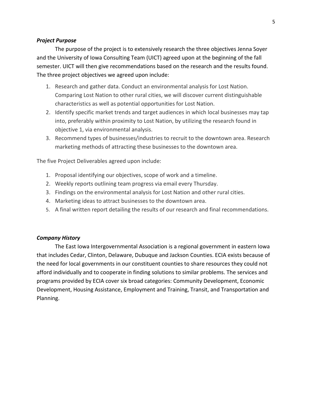### *Project Purpose*

The purpose of the project is to extensively research the three objectives Jenna Soyer and the University of Iowa Consulting Team (UICT) agreed upon at the beginning of the fall semester. UICT will then give recommendations based on the research and the results found. The three project objectives we agreed upon include:

- 1. Research and gather data. Conduct an environmental analysis for Lost Nation. Comparing Lost Nation to other rural cities, we will discover current distinguishable characteristics as well as potential opportunities for Lost Nation.
- 2. Identify specific market trends and target audiences in which local businesses may tap into, preferably within proximity to Lost Nation, by utilizing the research found in objective 1, via environmental analysis.
- 3. Recommend types of businesses/industries to recruit to the downtown area. Research marketing methods of attracting these businesses to the downtown area.

The five Project Deliverables agreed upon include:

- 1. Proposal identifying our objectives, scope of work and a timeline.
- 2. Weekly reports outlining team progress via email every Thursday.
- 3. Findings on the environmental analysis for Lost Nation and other rural cities.
- 4. Marketing ideas to attract businesses to the downtown area.
- 5. A final written report detailing the results of our research and final recommendations.

### *Company History*

The East Iowa Intergovernmental Association is a regional government in eastern Iowa that includes Cedar, Clinton, Delaware, Dubuque and Jackson Counties. ECIA exists because of the need for local governments in our constituent counties to share resources they could not afford individually and to cooperate in finding solutions to similar problems. The services and programs provided by ECIA cover six broad categories: Community Development, Economic Development, Housing Assistance, Employment and Training, Transit, and Transportation and Planning.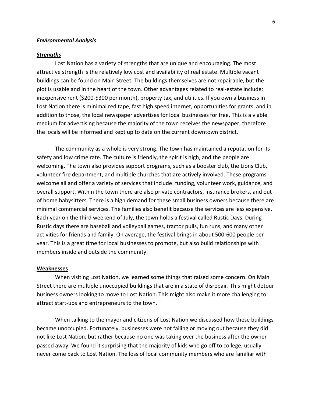#### *Environmental Analysis*

#### *Strengths*

Lost Nation has a variety of strengths that are unique and encouraging. The most attractive strength is the relatively low cost and availability of real estate. Multiple vacant buildings can be found on Main Street. The buildings themselves are not repairable, but the plot is usable and in the heart of the town. Other advantages related to real-estate include: inexpensive rent (\$200-\$300 per month), property tax, and utilities. If you own a business in Lost Nation there is minimal red tape, fast high speed internet, opportunities for grants, and in addition to those, the local newspaper advertises for local businesses for free. This is a viable medium for advertising because the majority of the town receives the newspaper, therefore the locals will be informed and kept up to date on the current downtown district.

The community as a whole is very strong. The town has maintained a reputation for its safety and low crime rate. The culture is friendly, the spirit is high, and the people are welcoming. The town also provides support programs, such as a booster club, the Lions Club, volunteer fire department, and multiple churches that are actively involved. These programs welcome all and offer a variety of services that include: funding, volunteer work, guidance, and overall support. Within the town there are also private contractors, insurance brokers, and out of home babysitters. There is a high demand for these small business owners because there are minimal commercial services. The families also benefit because the services are less expensive. Each year on the third weekend of July, the town holds a festival called Rustic Days. During Rustic days there are baseball and volleyball games, tractor pulls, fun runs, and many other activities for friends and family. On average, the festival brings in about 500-600 people per year. This is a great time for local businesses to promote, but also build relationships with members inside and outside the community.

#### **Weaknesses**

When visiting Lost Nation, we learned some things that raised some concern. On Main Street there are multiple unoccupied buildings that are in a state of disrepair. This might detour business owners looking to move to Lost Nation. This might also make it more challenging to attract start-ups and entrepreneurs to the town.

When talking to the mayor and citizens of Lost Nation we discussed how these buildings became unoccupied. Fortunately, businesses were not failing or moving out because they did not like Lost Nation, but rather because no one was taking over the business after the owner passed away. We found it surprising that the majority of kids who go off to college, usually never come back to Lost Nation. The loss of local community members who are familiar with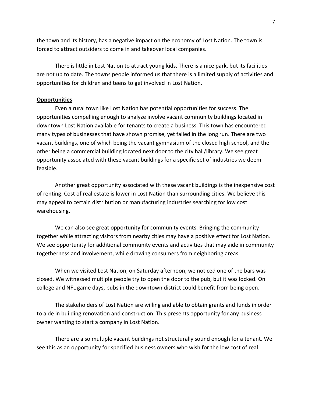the town and its history, has a negative impact on the economy of Lost Nation. The town is forced to attract outsiders to come in and takeover local companies.

There is little in Lost Nation to attract young kids. There is a nice park, but its facilities are not up to date. The towns people informed us that there is a limited supply of activities and opportunities for children and teens to get involved in Lost Nation.

#### **Opportunities**

Even a rural town like Lost Nation has potential opportunities for success. The opportunities compelling enough to analyze involve vacant community buildings located in downtown Lost Nation available for tenants to create a business. This town has encountered many types of businesses that have shown promise, yet failed in the long run. There are two vacant buildings, one of which being the vacant gymnasium of the closed high school, and the other being a commercial building located next door to the city hall/library. We see great opportunity associated with these vacant buildings for a specific set of industries we deem feasible.

Another great opportunity associated with these vacant buildings is the inexpensive cost of renting. Cost of real estate is lower in Lost Nation than surrounding cities. We believe this may appeal to certain distribution or manufacturing industries searching for low cost warehousing.

We can also see great opportunity for community events. Bringing the community together while attracting visitors from nearby cities may have a positive effect for Lost Nation. We see opportunity for additional community events and activities that may aide in community togetherness and involvement, while drawing consumers from neighboring areas.

When we visited Lost Nation, on Saturday afternoon, we noticed one of the bars was closed. We witnessed multiple people try to open the door to the pub, but it was locked. On college and NFL game days, pubs in the downtown district could benefit from being open.

The stakeholders of Lost Nation are willing and able to obtain grants and funds in order to aide in building renovation and construction. This presents opportunity for any business owner wanting to start a company in Lost Nation.

There are also multiple vacant buildings not structurally sound enough for a tenant. We see this as an opportunity for specified business owners who wish for the low cost of real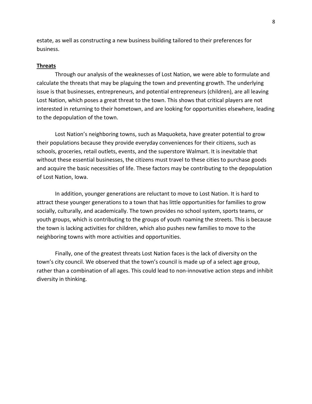estate, as well as constructing a new business building tailored to their preferences for business.

#### **Threats**

Through our analysis of the weaknesses of Lost Nation, we were able to formulate and calculate the threats that may be plaguing the town and preventing growth. The underlying issue is that businesses, entrepreneurs, and potential entrepreneurs (children), are all leaving Lost Nation, which poses a great threat to the town. This shows that critical players are not interested in returning to their hometown, and are looking for opportunities elsewhere, leading to the depopulation of the town.

Lost Nation's neighboring towns, such as Maquoketa, have greater potential to grow their populations because they provide everyday conveniences for their citizens, such as schools, groceries, retail outlets, events, and the superstore Walmart. It is inevitable that without these essential businesses, the citizens must travel to these cities to purchase goods and acquire the basic necessities of life. These factors may be contributing to the depopulation of Lost Nation, Iowa.

In addition, younger generations are reluctant to move to Lost Nation. It is hard to attract these younger generations to a town that has little opportunities for families to grow socially, culturally, and academically. The town provides no school system, sports teams, or youth groups, which is contributing to the groups of youth roaming the streets. This is because the town is lacking activities for children, which also pushes new families to move to the neighboring towns with more activities and opportunities.

Finally, one of the greatest threats Lost Nation faces is the lack of diversity on the town's city council. We observed that the town's council is made up of a select age group, rather than a combination of all ages. This could lead to non-innovative action steps and inhibit diversity in thinking.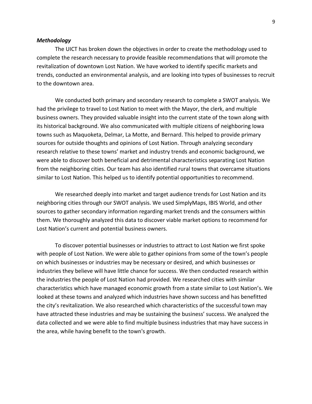#### *Methodology*

The UICT has broken down the objectives in order to create the methodology used to complete the research necessary to provide feasible recommendations that will promote the revitalization of downtown Lost Nation. We have worked to identify specific markets and trends, conducted an environmental analysis, and are looking into types of businesses to recruit to the downtown area.

We conducted both primary and secondary research to complete a SWOT analysis. We had the privilege to travel to Lost Nation to meet with the Mayor, the clerk, and multiple business owners. They provided valuable insight into the current state of the town along with its historical background. We also communicated with multiple citizens of neighboring Iowa towns such as Maquoketa, Delmar, La Motte, and Bernard. This helped to provide primary sources for outside thoughts and opinions of Lost Nation. Through analyzing secondary research relative to these towns' market and industry trends and economic background, we were able to discover both beneficial and detrimental characteristics separating Lost Nation from the neighboring cities. Our team has also identified rural towns that overcame situations similar to Lost Nation. This helped us to identify potential opportunities to recommend.

We researched deeply into market and target audience trends for Lost Nation and its neighboring cities through our SWOT analysis. We used SimplyMaps, IBIS World, and other sources to gather secondary information regarding market trends and the consumers within them. We thoroughly analyzed this data to discover viable market options to recommend for Lost Nation's current and potential business owners.

To discover potential businesses or industries to attract to Lost Nation we first spoke with people of Lost Nation. We were able to gather opinions from some of the town's people on which businesses or industries may be necessary or desired, and which businesses or industries they believe will have little chance for success. We then conducted research within the industries the people of Lost Nation had provided. We researched cities with similar characteristics which have managed economic growth from a state similar to Lost Nation's. We looked at these towns and analyzed which industries have shown success and has benefitted the city's revitalization. We also researched which characteristics of the successful town may have attracted these industries and may be sustaining the business' success. We analyzed the data collected and we were able to find multiple business industries that may have success in the area, while having benefit to the town's growth.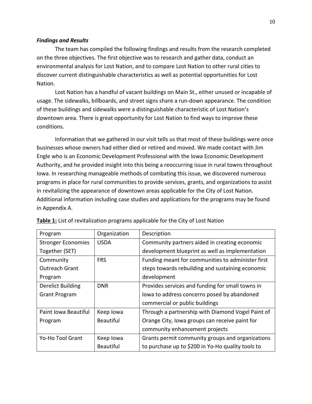#### *Findings and Results*

The team has compiled the following findings and results from the research completed on the three objectives. The first objective was to research and gather data, conduct an environmental analysis for Lost Nation, and to compare Lost Nation to other rural cities to discover current distinguishable characteristics as well as potential opportunities for Lost Nation.

Lost Nation has a handful of vacant buildings on Main St., either unused or incapable of usage. The sidewalks, billboards, and street signs share a run-down appearance. The condition of these buildings and sidewalks were a distinguishable characteristic of Lost Nation's downtown area. There is great opportunity for Lost Nation to find ways to improve these conditions.

Information that we gathered in our visit tells us that most of these buildings were once businesses whose owners had either died or retired and moved. We made contact with Jim Engle who is an Economic Development Professional with the Iowa Economic Development Authority, and he provided insight into this being a reoccurring issue in rural towns throughout Iowa. In researching manageable methods of combating this issue, we discovered numerous programs in place for rural communities to provide services, grants, and organizations to assist in revitalizing the appearance of downtown areas applicable for the City of Lost Nation. Additional information including case studies and applications for the programs may be found in Appendix A.

| Program                   | Organization     | Description                                       |
|---------------------------|------------------|---------------------------------------------------|
| <b>Stronger Economies</b> | <b>USDA</b>      | Community partners aided in creating economic     |
| Together (SET)            |                  | development blueprint as well as implementation   |
| Community                 | <b>FRS</b>       | Funding meant for communities to administer first |
| Outreach Grant            |                  | steps towards rebuilding and sustaining economic  |
| Program                   |                  | development                                       |
| <b>Derelict Building</b>  | <b>DNR</b>       | Provides services and funding for small towns in  |
| <b>Grant Program</b>      |                  | lowa to address concerns posed by abandoned       |
|                           |                  | commercial or public buildings                    |
| Paint Iowa Beautiful      | Keep lowa        | Through a partnership with Diamond Vogel Paint of |
| Program                   | <b>Beautiful</b> | Orange City, Iowa groups can receive paint for    |
|                           |                  | community enhancement projects                    |
| Yo-Ho Tool Grant          | Keep lowa        | Grants permit community groups and organizations  |
|                           | <b>Beautiful</b> | to purchase up to \$200 in Yo-Ho quality tools to |

**Table 1:** List of revitalization programs applicable for the City of Lost Nation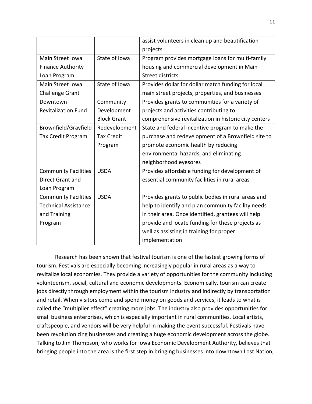|                             |                    | assist volunteers in clean up and beautification      |
|-----------------------------|--------------------|-------------------------------------------------------|
|                             |                    | projects                                              |
| Main Street Iowa            | State of Iowa      | Program provides mortgage loans for multi-family      |
| <b>Finance Authority</b>    |                    | housing and commercial development in Main            |
| Loan Program                |                    | <b>Street districts</b>                               |
| Main Street Iowa            | State of Iowa      | Provides dollar for dollar match funding for local    |
| <b>Challenge Grant</b>      |                    | main street projects, properties, and businesses      |
| Downtown                    | Community          | Provides grants to communities for a variety of       |
| <b>Revitalization Fund</b>  | Development        | projects and activities contributing to               |
|                             | <b>Block Grant</b> | comprehensive revitalization in historic city centers |
| Brownfield/Grayfield        | Redevelopment      | State and federal incentive program to make the       |
| <b>Tax Credit Program</b>   | <b>Tax Credit</b>  | purchase and redevelopment of a Brownfield site to    |
|                             | Program            | promote economic health by reducing                   |
|                             |                    | environmental hazards, and eliminating                |
|                             |                    | neighborhood eyesores                                 |
| <b>Community Facilities</b> | <b>USDA</b>        | Provides affordable funding for development of        |
| <b>Direct Grant and</b>     |                    | essential community facilities in rural areas         |
| Loan Program                |                    |                                                       |
| <b>Community Facilities</b> | <b>USDA</b>        | Provides grants to public bodies in rural areas and   |
| <b>Technical Assistance</b> |                    | help to identify and plan community facility needs    |
| and Training                |                    | in their area. Once identified, grantees will help    |
| Program                     |                    | provide and locate funding for these projects as      |
|                             |                    | well as assisting in training for proper              |
|                             |                    | implementation                                        |

Research has been shown that festival tourism is one of the fastest growing forms of tourism. Festivals are especially becoming increasingly popular in rural areas as a way to revitalize local economies. They provide a variety of opportunities for the community including volunteerism, social, cultural and economic developments. Economically, tourism can create jobs directly through employment within the tourism industry and indirectly by transportation and retail. When visitors come and spend money on goods and services, it leads to what is called the "multiplier effect" creating more jobs. The industry also provides opportunities for small business enterprises, which is especially important in rural communities. Local artists, craftspeople, and vendors will be very helpful in making the event successful. Festivals have been revolutionizing businesses and creating a huge economic development across the globe. Talking to Jim Thompson, who works for Iowa Economic Development Authority, believes that bringing people into the area is the first step in bringing businesses into downtown Lost Nation,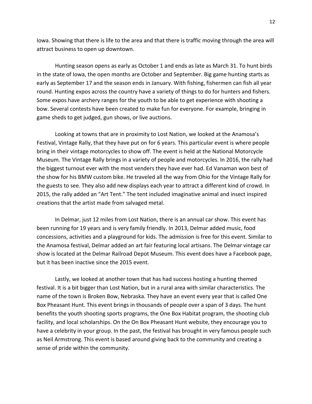Iowa. Showing that there is life to the area and that there is traffic moving through the area will attract business to open up downtown.

Hunting season opens as early as October 1 and ends as late as March 31. To hunt birds in the state of Iowa, the open months are October and September. Big game hunting starts as early as September 17 and the season ends in January. With fishing, fishermen can fish all year round. Hunting expos across the country have a variety of things to do for hunters and fishers. Some expos have archery ranges for the youth to be able to get experience with shooting a bow. Several contests have been created to make fun for everyone. For example, bringing in game sheds to get judged, gun shows, or live auctions.

Looking at towns that are in proximity to Lost Nation, we looked at the Anamosa's Festival, Vintage Rally, that they have put on for 6 years. This particular event is where people bring in their vintage motorcycles to show off. The event is held at the National Motorcycle Museum. The Vintage Rally brings in a variety of people and motorcycles. In 2016, the rally had the biggest turnout ever with the most venders they have ever had. Ed Vanaman won best of the show for his BMW custom bike. He traveled all the way from Ohio for the Vintage Rally for the guests to see. They also add new displays each year to attract a different kind of crowd. In 2015, the rally added an "Art Tent." The tent included imaginative animal and insect inspired creations that the artist made from salvaged metal.

In Delmar, just 12 miles from Lost Nation, there is an annual car show. This event has been running for 19 years and is very family friendly. In 2013, Delmar added music, food concessions, activities and a playground for kids. The admission is free for this event. Similar to the Anamosa festival, Delmar added an art fair featuring local artisans. The Delmar vintage car show is located at the Delmar Railroad Depot Museum. This event does have a Facebook page, but it has been inactive since the 2015 event.

Lastly, we looked at another town that has had success hosting a hunting themed festival. It is a bit bigger than Lost Nation, but in a rural area with similar characteristics. The name of the town is Broken Bow, Nebraska. They have an event every year that is called One Box Pheasant Hunt. This event brings in thousands of people over a span of 3 days. The hunt benefits the youth shooting sports programs, the One Box Habitat program, the shooting club facility, and local scholarships. On the On Box Pheasant Hunt website, they encourage you to have a celebrity in your group. In the past, the festival has brought in very famous people such as Neil Armstrong. This event is based around giving back to the community and creating a sense of pride within the community.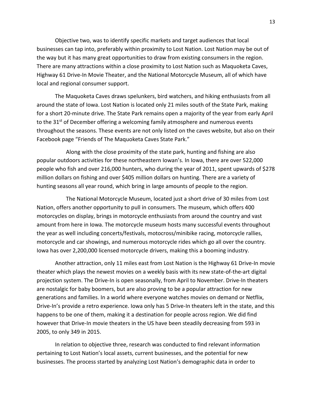Objective two, was to identify specific markets and target audiences that local businesses can tap into, preferably within proximity to Lost Nation. Lost Nation may be out of the way but it has many great opportunities to draw from existing consumers in the region. There are many attractions within a close proximity to Lost Nation such as Maquoketa Caves, Highway 61 Drive-In Movie Theater, and the National Motorcycle Museum, all of which have local and regional consumer support.

The Maquoketa Caves draws spelunkers, bird watchers, and hiking enthusiasts from all around the state of Iowa. Lost Nation is located only 21 miles south of the State Park, making for a short 20-minute drive. The State Park remains open a majority of the year from early April to the  $31<sup>st</sup>$  of December offering a welcoming family atmosphere and numerous events throughout the seasons. These events are not only listed on the caves website, but also on their Facebook page "Friends of The Maquoketa Caves State Park."

Along with the close proximity of the state park, hunting and fishing are also popular outdoors activities for these northeastern Iowan's. In Iowa, there are over 522,000 people who fish and over 216,000 hunters, who during the year of 2011, spent upwards of \$278 million dollars on fishing and over \$405 million dollars on hunting. There are a variety of hunting seasons all year round, which bring in large amounts of people to the region.

The National Motorcycle Museum, located just a short drive of 30 miles from Lost Nation, offers another opportunity to pull in consumers. The museum, which offers 400 motorcycles on display, brings in motorcycle enthusiasts from around the country and vast amount from here in Iowa. The motorcycle museum hosts many successful events throughout the year as well including concerts/festivals, motocross/minibike racing, motorcycle rallies, motorcycle and car showings, and numerous motorcycle rides which go all over the country. Iowa has over 2,200,000 licensed motorcycle drivers, making this a booming industry.

Another attraction, only 11 miles east from Lost Nation is the Highway 61 Drive-In movie theater which plays the newest movies on a weekly basis with its new state-of-the-art digital projection system. The Drive-In is open seasonally, from April to November. Drive-In theaters are nostalgic for baby boomers, but are also proving to be a popular attraction for new generations and families. In a world where everyone watches movies on demand or Netflix, Drive-In's provide a retro experience. Iowa only has 5 Drive-In theaters left in the state, and this happens to be one of them, making it a destination for people across region. We did find however that Drive-In movie theaters in the US have been steadily decreasing from 593 in 2005, to only 349 in 2015.

In relation to objective three, research was conducted to find relevant information pertaining to Lost Nation's local assets, current businesses, and the potential for new businesses. The process started by analyzing Lost Nation's demographic data in order to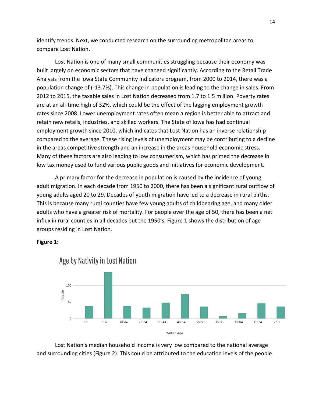identify trends. Next, we conducted research on the surrounding metropolitan areas to compare Lost Nation.

Lost Nation is one of many small communities struggling because their economy was built largely on economic sectors that have changed significantly. According to the Retail Trade Analysis from the Iowa State Community Indicators program, from 2000 to 2014, there was a population change of (-13.7%). This change in population is leading to the change in sales. From 2012 to 2015, the taxable sales in Lost Nation decreased from 1.7 to 1.5 million. Poverty rates are at an all-time high of 32%, which could be the effect of the lagging employment growth rates since 2008. Lower unemployment rates often mean a region is better able to attract and retain new retails, industries, and skilled workers. The State of Iowa has had continual employment growth since 2010, which indicates that Lost Nation has an inverse relationship compared to the average. These rising levels of unemployment may be contributing to a decline in the areas competitive strength and an increase in the areas household economic stress. Many of these factors are also leading to low consumerism, which has primed the decrease in low tax money used to fund various public goods and initiatives for economic development.

A primary factor for the decrease in population is caused by the incidence of young adult migration. In each decade from 1950 to 2000, there has been a significant rural outflow of young adults aged 20 to 29. Decades of youth migration have led to a decrease in rural births. This is because many rural counties have few young adults of childbearing age, and many older adults who have a greater risk of mortality. For people over the age of 50, there has been a net influx in rural counties in all decades but the 1950's. Figure 1 shows the distribution of age groups residing in Lost Nation.

**Figure 1:**



Age by Nativity in Lost Nation

Lost Nation's median household income is very low compared to the national average and surrounding cities (Figure 2). This could be attributed to the education levels of the people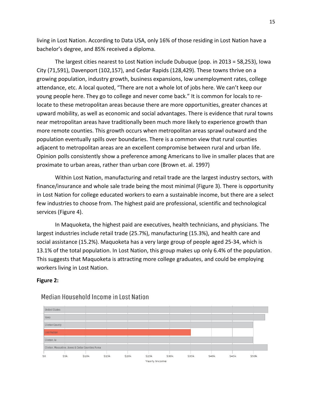living in Lost Nation. According to Data USA, only 16% of those residing in Lost Nation have a bachelor's degree, and 85% received a diploma.

The largest cities nearest to Lost Nation include Dubuque (pop. in 2013 = 58,253), Iowa City (71,591), Davenport (102,157), and Cedar Rapids (128,429). These towns thrive on a growing population, industry growth, business expansions, low unemployment rates, college attendance, etc. A local quoted, "There are not a whole lot of jobs here. We can't keep our young people here. They go to college and never come back." It is common for locals to relocate to these metropolitan areas because there are more opportunities, greater chances at upward mobility, as well as economic and social advantages. There is evidence that rural towns near metropolitan areas have traditionally been much more likely to experience growth than more remote counties. This growth occurs when metropolitan areas sprawl outward and the population eventually spills over boundaries. There is a common view that rural counties adjacent to metropolitan areas are an excellent compromise between rural and urban life. Opinion polls consistently show a preference among Americans to live in smaller places that are proximate to urban areas, rather than urban core (Brown et. al. 1997)

Within Lost Nation, manufacturing and retail trade are the largest industry sectors, with finance/insurance and whole sale trade being the most minimal (Figure 3). There is opportunity in Lost Nation for college educated workers to earn a sustainable income, but there are a select few industries to choose from. The highest paid are professional, scientific and technological services (Figure 4).

In Maquoketa, the highest paid are executives, health technicians, and physicians. The largest industries include retail trade (25.7%), manufacturing (15.3%), and health care and social assistance (15.2%). Maquoketa has a very large group of people aged 25-34, which is 13.1% of the total population. In Lost Nation, this group makes up only 6.4% of the population. This suggests that Maquoketa is attracting more college graduates, and could be employing workers living in Lost Nation.

#### **Figure 2:**



### Median Household Income in Lost Nation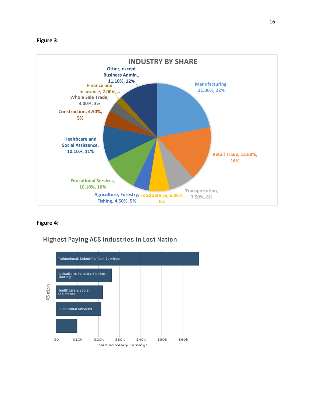### **Figure 3**:



### **Figure 4:**

### **Highest Paying ACS Industries in Lost Nation**

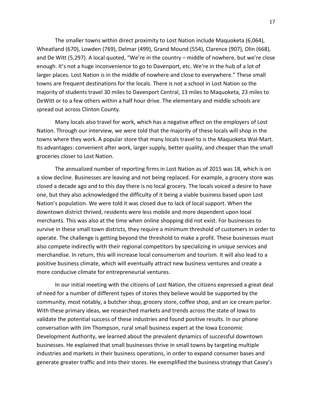The smaller towns within direct proximity to Lost Nation include Maquoketa (6,064), Wheatland (670), Lowden (769), Delmar (499), Grand Mound (554), Clarence (907), Olin (668), and De Witt (5,297). A local quoted, "We're in the country – middle of nowhere, but we're close enough. It's not a huge inconvenience to go to Davenport, etc. We're in the hub of a lot of larger places. Lost Nation is in the middle of nowhere and close to everywhere." These small towns are frequent destinations for the locals. There is not a school in Lost Nation so the majority of students travel 30 miles to Davenport Central, 13 miles to Maquoketa, 23 miles to DeWitt or to a few others within a half hour drive. The elementary and middle schools are spread out across Clinton County.

Many locals also travel for work, which has a negative effect on the employers of Lost Nation. Through our interview, we were told that the majority of these locals will shop in the towns where they work. A popular store that many locals travel to is the Maquoketa Wal-Mart. Its advantages: convenient after work, larger supply, better quality, and cheaper than the small groceries closer to Lost Nation.

The annualized number of reporting firms in Lost Nation as of 2015 was 18, which is on a slow decline. Businesses are leaving and not being replaced. For example, a grocery store was closed a decade ago and to this day there is no local grocery. The locals voiced a desire to have one, but they also acknowledged the difficulty of it being a viable business based upon Lost Nation's population. We were told it was closed due to lack of local support. When the downtown district thrived, residents were less mobile and more dependent upon local merchants. This was also at the time when online shopping did not exist. For businesses to survive in these small town districts, they require a minimum threshold of customers in order to operate. The challenge is getting beyond the threshold to make a profit. These businesses must also compete indirectly with their regional competitors by specializing in unique services and merchandise. In return, this will increase local consumerism and tourism. It will also lead to a positive business climate, which will eventually attract new business ventures and create a more conducive climate for entrepreneurial ventures.

In our initial meeting with the citizens of Lost Nation, the citizens expressed a great deal of need for a number of different types of stores they believe would be supported by the community, most notably, a butcher shop, grocery store, coffee shop, and an ice cream parlor. With these primary ideas, we researched markets and trends across the state of Iowa to validate the potential success of these industries and found positive results. In our phone conversation with Jim Thompson, rural small business expert at the Iowa Economic Development Authority, we learned about the prevalent dynamics of successful downtown businesses. He explained that small businesses thrive in small towns by targeting multiple industries and markets in their business operations, in order to expand consumer bases and generate greater traffic and into their stores. He exemplified the business strategy that Casey's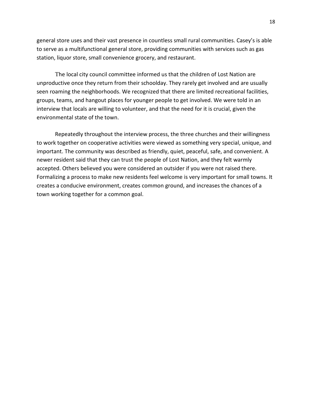general store uses and their vast presence in countless small rural communities. Casey's is able to serve as a multifunctional general store, providing communities with services such as gas station, liquor store, small convenience grocery, and restaurant.

The local city council committee informed us that the children of Lost Nation are unproductive once they return from their schoolday. They rarely get involved and are usually seen roaming the neighborhoods. We recognized that there are limited recreational facilities, groups, teams, and hangout places for younger people to get involved. We were told in an interview that locals are willing to volunteer, and that the need for it is crucial, given the environmental state of the town.

Repeatedly throughout the interview process, the three churches and their willingness to work together on cooperative activities were viewed as something very special, unique, and important. The community was described as friendly, quiet, peaceful, safe, and convenient. A newer resident said that they can trust the people of Lost Nation, and they felt warmly accepted. Others believed you were considered an outsider if you were not raised there. Formalizing a process to make new residents feel welcome is very important for small towns. It creates a conducive environment, creates common ground, and increases the chances of a town working together for a common goal.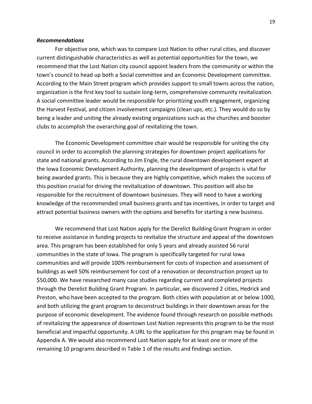#### *Recommendations*

For objective one, which was to compare Lost Nation to other rural cities, and discover current distinguishable characteristics as well as potential opportunities for the town, we recommend that the Lost Nation city council appoint leaders from the community or within the town's council to head up both a Social committee and an Economic Development committee. According to the Main Street program which provides support to small towns across the nation, organization is the first key tool to sustain long-term, comprehensive community revitalization. A social committee leader would be responsible for prioritizing youth engagement, organizing the Harvest Festival, and citizen involvement campaigns (clean ups, etc.). They would do so by being a leader and uniting the already existing organizations such as the churches and booster clubs to accomplish the overarching goal of revitalizing the town.

The Economic Development committee chair would be responsible for uniting the city council in order to accomplish the planning strategies for downtown project applications for state and national grants. According to Jim Engle, the rural downtown development expert at the Iowa Economic Development Authority, planning the development of projects is vital for being awarded grants. This is because they are highly competitive, which makes the success of this position crucial for driving the revitalization of downtown. This position will also be responsible for the recruitment of downtown businesses. They will need to have a working knowledge of the recommended small business grants and tax incentives, in order to target and attract potential business owners with the options and benefits for starting a new business.

We recommend that Lost Nation apply for the Derelict Building Grant Program in order to receive assistance in funding projects to revitalize the structure and appeal of the downtown area. This program has been established for only 5 years and already assisted 56 rural communities in the state of Iowa. The program is specifically targeted for rural Iowa communities and will provide 100% reimbursement for costs of inspection and assessment of buildings as well 50% reimbursement for cost of a renovation or deconstruction project up to \$50,000. We have researched many case studies regarding current and completed projects through the Derelict Building Grant Program. In particular, we discovered 2 cities, Hedrick and Preston, who have been accepted to the program. Both cities with population at or below 1000, and both utilizing the grant program to deconstruct buildings in their downtown areas for the purpose of economic development. The evidence found through research on possible methods of revitalizing the appearance of downtown Lost Nation represents this program to be the most beneficial and impactful opportunity. A URL to the application for this program may be found in Appendix A. We would also recommend Lost Nation apply for at least one or more of the remaining 10 programs described in Table 1 of the results and findings section.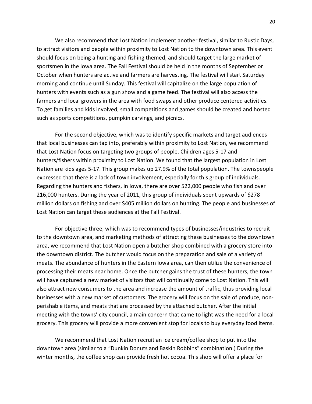We also recommend that Lost Nation implement another festival, similar to Rustic Days, to attract visitors and people within proximity to Lost Nation to the downtown area. This event should focus on being a hunting and fishing themed, and should target the large market of sportsmen in the Iowa area. The Fall Festival should be held in the months of September or October when hunters are active and farmers are harvesting. The festival will start Saturday morning and continue until Sunday. This festival will capitalize on the large population of hunters with events such as a gun show and a game feed. The festival will also access the farmers and local growers in the area with food swaps and other produce centered activities. To get families and kids involved, small competitions and games should be created and hosted such as sports competitions, pumpkin carvings, and picnics.

For the second objective, which was to identify specific markets and target audiences that local businesses can tap into, preferably within proximity to Lost Nation, we recommend that Lost Nation focus on targeting two groups of people. Children ages 5-17 and hunters/fishers within proximity to Lost Nation. We found that the largest population in Lost Nation are kids ages 5-17. This group makes up 27.9% of the total population. The townspeople expressed that there is a lack of town involvement, especially for this group of individuals. Regarding the hunters and fishers, in Iowa, there are over 522,000 people who fish and over 216,000 hunters. During the year of 2011, this group of individuals spent upwards of \$278 million dollars on fishing and over \$405 million dollars on hunting. The people and businesses of Lost Nation can target these audiences at the Fall Festival.

For objective three, which was to recommend types of businesses/industries to recruit to the downtown area, and marketing methods of attracting these businesses to the downtown area, we recommend that Lost Nation open a butcher shop combined with a grocery store into the downtown district. The butcher would focus on the preparation and sale of a variety of meats. The abundance of hunters in the Eastern Iowa area, can then utilize the convenience of processing their meats near home. Once the butcher gains the trust of these hunters, the town will have captured a new market of visitors that will continually come to Lost Nation. This will also attract new consumers to the area and increase the amount of traffic, thus providing local businesses with a new market of customers. The grocery will focus on the sale of produce, nonperishable items, and meats that are processed by the attached butcher. After the initial meeting with the towns' city council, a main concern that came to light was the need for a local grocery. This grocery will provide a more convenient stop for locals to buy everyday food items.

We recommend that Lost Nation recruit an ice cream/coffee shop to put into the downtown area (similar to a "Dunkin Donuts and Baskin Robbins" combination.) During the winter months, the coffee shop can provide fresh hot cocoa. This shop will offer a place for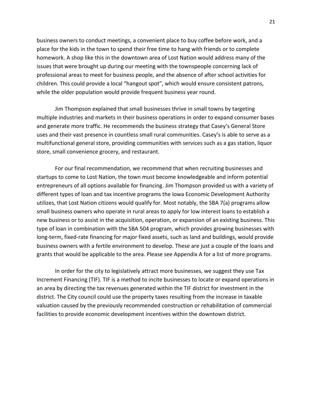business owners to conduct meetings, a convenient place to buy coffee before work, and a place for the kids in the town to spend their free time to hang with friends or to complete homework. A shop like this in the downtown area of Lost Nation would address many of the issues that were brought up during our meeting with the townspeople concerning lack of professional areas to meet for business people, and the absence of after school activities for children. This could provide a local "hangout spot", which would ensure consistent patrons, while the older population would provide frequent business year round.

Jim Thompson explained that small businesses thrive in small towns by targeting multiple industries and markets in their business operations in order to expand consumer bases and generate more traffic. He recommends the business strategy that Casey's General Store uses and their vast presence in countless small rural communities. Casey's is able to serve as a multifunctional general store, providing communities with services such as a gas station, liquor store, small convenience grocery, and restaurant.

For our final recommendation, we recommend that when recruiting businesses and startups to come to Lost Nation, the town must become knowledgeable and inform potential entrepreneurs of all options available for financing. Jim Thompson provided us with a variety of different types of loan and tax incentive programs the Iowa Economic Development Authority utilizes, that Lost Nation citizens would qualify for. Most notably, the SBA 7(a) programs allow small business owners who operate in rural areas to apply for low interest loans to establish a new business or to assist in the acquisition, operation, or expansion of an existing business. This type of loan in combination with the SBA 504 program, which provides growing businesses with long-term, fixed-rate financing for major fixed assets, such as land and buildings, would provide business owners with a fertile environment to develop. These are just a couple of the loans and grants that would be applicable to the area. Please see Appendix A for a list of more programs.

In order for the city to legislatively attract more businesses, we suggest they use Tax Increment Financing (TIF). TIF is a method to incite businesses to locate or expand operations in an area by directing the tax revenues generated within the TIF district for investment in the district. The City council could use the property taxes resulting from the increase in taxable valuation caused by the previously recommended construction or rehabilitation of commercial facilities to provide economic development incentives within the downtown district.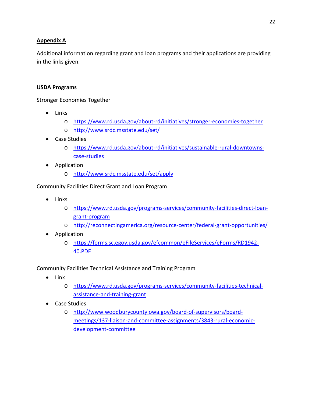### **Appendix A**

Additional information regarding grant and loan programs and their applications are providing in the links given.

### **USDA Programs**

Stronger Economies Together

- Links
	- o <https://www.rd.usda.gov/about-rd/initiatives/stronger-economies-together>
	- o <http://www.srdc.msstate.edu/set/>
- Case Studies
	- o [https://www.rd.usda.gov/about-rd/initiatives/sustainable-rural-downtowns](https://www.rd.usda.gov/about-rd/initiatives/sustainable-rural-downtowns-case-studies)[case-studies](https://www.rd.usda.gov/about-rd/initiatives/sustainable-rural-downtowns-case-studies)
- Application
	- o <http://www.srdc.msstate.edu/set/apply>

Community Facilities Direct Grant and Loan Program

- Links
	- o [https://www.rd.usda.gov/programs-services/community-facilities-direct-loan](https://www.rd.usda.gov/programs-services/community-facilities-direct-loan-grant-program)[grant-program](https://www.rd.usda.gov/programs-services/community-facilities-direct-loan-grant-program)
	- o <http://reconnectingamerica.org/resource-center/federal-grant-opportunities/>
- Application
	- o [https://forms.sc.egov.usda.gov/efcommon/eFileServices/eForms/RD1942-](https://forms.sc.egov.usda.gov/efcommon/eFileServices/eForms/RD1942-40.PDF) [40.PDF](https://forms.sc.egov.usda.gov/efcommon/eFileServices/eForms/RD1942-40.PDF)

Community Facilities Technical Assistance and Training Program

- Link
	- o [https://www.rd.usda.gov/programs-services/community-facilities-technical](https://www.rd.usda.gov/programs-services/community-facilities-technical-assistance-and-training-grant)[assistance-and-training-grant](https://www.rd.usda.gov/programs-services/community-facilities-technical-assistance-and-training-grant)
- Case Studies
	- o [http://www.woodburycountyiowa.gov/board-of-supervisors/board](http://www.woodburycountyiowa.gov/board-of-supervisors/board-meetings/137-liaison-and-committee-assignments/3843-rural-economic-development-committee)[meetings/137-liaison-and-committee-assignments/3843-rural-economic](http://www.woodburycountyiowa.gov/board-of-supervisors/board-meetings/137-liaison-and-committee-assignments/3843-rural-economic-development-committee)[development-committee](http://www.woodburycountyiowa.gov/board-of-supervisors/board-meetings/137-liaison-and-committee-assignments/3843-rural-economic-development-committee)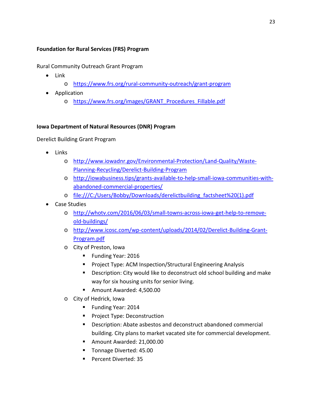### **Foundation for Rural Services (FRS) Program**

Rural Community Outreach Grant Program

- Link
	- o <https://www.frs.org/rural-community-outreach/grant-program>
- Application
	- o [https://www.frs.org/images/GRANT\\_Procedures\\_Fillable.pdf](https://www.frs.org/images/GRANT_Procedures_Fillable.pdf)

### **Iowa Department of Natural Resources (DNR) Program**

Derelict Building Grant Program

- Links
	- o [http://www.iowadnr.gov/Environmental-Protection/Land-Quality/Waste-](http://www.iowadnr.gov/Environmental-Protection/Land-Quality/Waste-Planning-Recycling/Derelict-Building-Program)[Planning-Recycling/Derelict-Building-Program](http://www.iowadnr.gov/Environmental-Protection/Land-Quality/Waste-Planning-Recycling/Derelict-Building-Program)
	- o [http://iowabusiness.tips/grants-available-to-help-small-iowa-communities-with](http://iowabusiness.tips/grants-available-to-help-small-iowa-communities-with-abandoned-commercial-properties/)[abandoned-commercial-properties/](http://iowabusiness.tips/grants-available-to-help-small-iowa-communities-with-abandoned-commercial-properties/)
	- o file:///C:/Users/Bobby/Downloads/derelictbuilding\_factsheet%20(1).pdf
- Case Studies
	- o [http://whotv.com/2016/06/03/small-towns-across-iowa-get-help-to-remove](http://whotv.com/2016/06/03/small-towns-across-iowa-get-help-to-remove-old-buildings/)[old-buildings/](http://whotv.com/2016/06/03/small-towns-across-iowa-get-help-to-remove-old-buildings/)
	- o [http://www.icosc.com/wp-content/uploads/2014/02/Derelict-Building-Grant-](http://www.icosc.com/wp-content/uploads/2014/02/Derelict-Building-Grant-Program.pdf)[Program.pdf](http://www.icosc.com/wp-content/uploads/2014/02/Derelict-Building-Grant-Program.pdf)
	- o City of Preston, Iowa
		- **Funding Year: 2016**
		- **Project Type: ACM Inspection/Structural Engineering Analysis**
		- **Description: City would like to deconstruct old school building and make** way for six housing units for senior living.
		- Amount Awarded: 4,500.00
	- o City of Hedrick, Iowa
		- Funding Year: 2014
		- **Project Type: Deconstruction**
		- Description: Abate asbestos and deconstruct abandoned commercial building. City plans to market vacated site for commercial development.
		- Amount Awarded: 21,000.00
		- Tonnage Diverted: 45.00
		- Percent Diverted: 35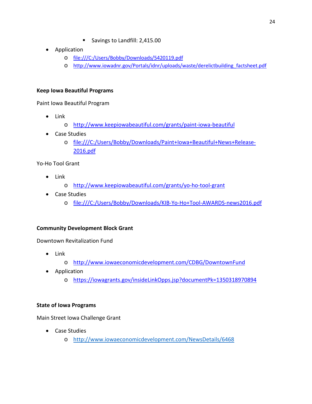- Savings to Landfill: 2,415.00
- Application
	- o file:///C:/Users/Bobby/Downloads/5420119.pdf
	- o [http://www.iowadnr.gov/Portals/idnr/uploads/waste/derelictbuilding\\_factsheet.pdf](http://www.iowadnr.gov/Portals/idnr/uploads/waste/derelictbuilding_factsheet.pdf)

### **Keep Iowa Beautiful Programs**

Paint Iowa Beautiful Program

- Link
	- o <http://www.keepiowabeautiful.com/grants/paint-iowa-beautiful>
- Case Studies
	- o file:///C:/Users/Bobby/Downloads/Paint+Iowa+Beautiful+News+Release-2016.pdf

Yo-Ho Tool Grant

- Link
	- o <http://www.keepiowabeautiful.com/grants/yo-ho-tool-grant>
- Case Studies
	- o file:///C:/Users/Bobby/Downloads/KIB-Yo-Ho+Tool-AWARDS-news2016.pdf

### **Community Development Block Grant**

Downtown Revitalization Fund

- Link
	- o <http://www.iowaeconomicdevelopment.com/CDBG/DowntownFund>
- Application
	- o <https://iowagrants.gov/insideLinkOpps.jsp?documentPk=1350318970894>

### **State of Iowa Programs**

Main Street Iowa Challenge Grant

- Case Studies
	- o <http://www.iowaeconomicdevelopment.com/NewsDetails/6468>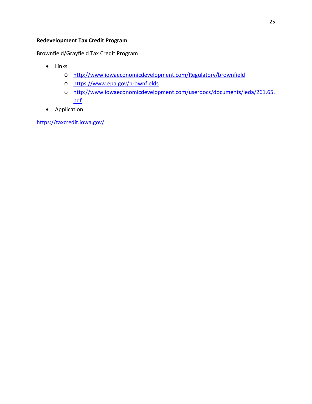### **Redevelopment Tax Credit Program**

Brownfield/Grayfield Tax Credit Program

- Links
	- o <http://www.iowaeconomicdevelopment.com/Regulatory/brownfield>
	- o <https://www.epa.gov/brownfields>
	- o [http://www.iowaeconomicdevelopment.com/userdocs/documents/ieda/261.65.](http://www.iowaeconomicdevelopment.com/userdocs/documents/ieda/261.65.pdf) [pdf](http://www.iowaeconomicdevelopment.com/userdocs/documents/ieda/261.65.pdf)
- Application

<https://taxcredit.iowa.gov/>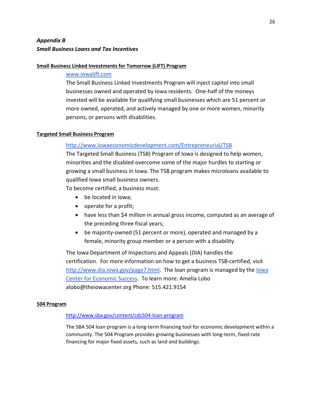# *Appendix B Small Business Loans and Tax Incentives*

### **Small Business Linked Investments for Tomorrow (LIFT) Program**

### www.iowalift.com

The Small Business Linked Investments Program will inject capitol into small businesses owned and operated by Iowa residents. One-half of the moneys invested will be available for qualifying small businesses which are 51 percent or more owned, operated, and actively managed by one or more women, minority persons, or persons with disabilities.

### **Targeted Small Business Program**

### <http://www.iowaeconomicdevelopment.com/Entrepreneurial/TSB>

The Targeted Small Business (TSB) Program of Iowa is designed to help women, minorities and the disabled overcome some of the major hurdles to starting or growing a small business in Iowa. The TSB program makes microloans available to qualified Iowa small business owners.

To become certified, a business must:

- be located in Iowa;
- operate for a profit;
- have less than \$4 million in annual gross income, computed as an average of the preceding three fiscal years;
- be majority-owned (51 percent or more), operated and managed by a female, minority group member or a person with a disability.

The Iowa Department of Inspections and Appeals (DIA) handles the certification. For more information on how to get a business TSB-certified, visi[t](http://www.dia.iowa.gov/page7.html) [http://www.dia.iowa.gov/page7.html.](http://www.dia.iowa.gov/page7.html) The loan program is managed by th[e Iowa](http://theiowacenter.org/tsb/)  [Center for Economic Success.](http://theiowacenter.org/tsb/) To learn more: Amelia Lobo alobo@theiowacenter.org Phone: 515.421.9154

#### **504 Program**

#### <http://www.sba.gov/content/cdc504-loan-program>

The SBA 504 loan program is a long-term financing tool for economic development within a community. The 504 Program provides growing businesses with long-term, fixed-rate financing for major fixed assets, such as land and buildings.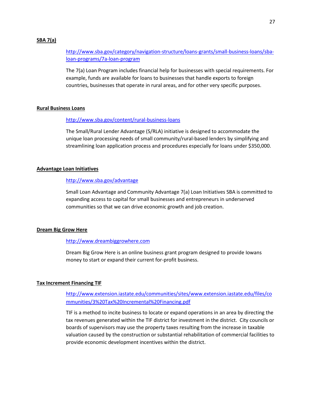#### **SBA 7(a)**

[http://www.sba.gov/category/navigation-structure/loans-grants/small-business-loans/sba](http://www.sba.gov/category/navigation-structure/loans-grants/small-business-loans/sba-loan-programs/7a-loan-program)[loan-programs/7a-loan-program](http://www.sba.gov/category/navigation-structure/loans-grants/small-business-loans/sba-loan-programs/7a-loan-program)

The 7(a) Loan Program includes financial help for businesses with special requirements. For example, funds are available for loans to businesses that handle exports to foreign countries, businesses that operate in rural areas, and for other very specific purposes.

#### **Rural Business Loans**

#### <http://www.sba.gov/content/rural-business-loans>

The Small/Rural Lender Advantage (S/RLA) initiative is designed to accommodate the unique loan processing needs of small community/rural-based lenders by simplifying and streamlining loan application process and procedures especially for loans under \$350,000.

#### **Advantage Loan Initiatives**

#### <http://www.sba.gov/advantage>

Small Loan Advantage and Community Advantage 7(a) Loan Initiatives SBA is committed to expanding access to capital for small businesses and entrepreneurs in underserved communities so that we can drive economic growth and job creation.

#### **Dream Big Grow Here**

#### [http://www.dreambiggrowhere.com](http://www.dreambiggrowhere.com/)

Dream Big Grow Here is an online business grant program designed to provide Iowans money to start or expand their current for-profit business.

#### **Tax Increment Financing TIF**

[http://www.extension.iastate.edu/communities/sites/www.extension.iastate.edu/files/co](http://www.extension.iastate.edu/communities/sites/www.extension.iastate.edu/files/communities/3%20Tax%20Incremental%20Financing.pdf) [mmunities/3%20Tax%20Incremental%20Financing.pdf](http://www.extension.iastate.edu/communities/sites/www.extension.iastate.edu/files/communities/3%20Tax%20Incremental%20Financing.pdf)

TIF is a method to incite business to locate or expand operations in an area by directing the tax revenues generated within the TIF district for investment in the district. City councils or boards of supervisors may use the property taxes resulting from the increase in taxable valuation caused by the construction or substantial rehabilitation of commercial facilities to provide economic development incentives within the district.